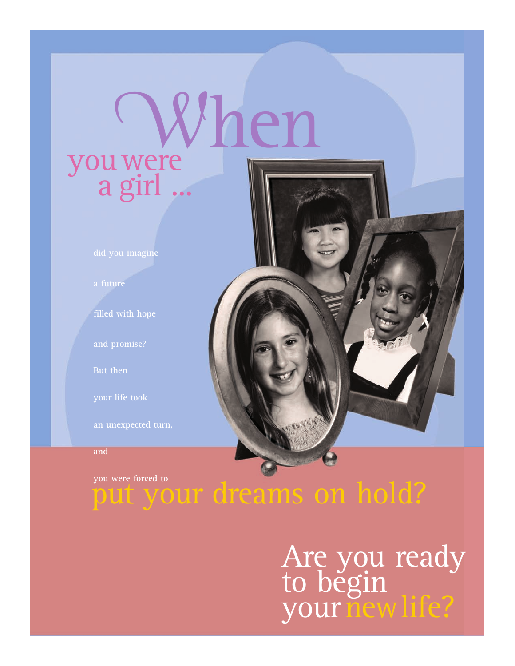# youwere a girl ... **When**

**did you imagine**

**a future**

**filled with hope**

**But then**

**an unexpected turn,**

**and**

**you were forced to**

## put your dreams on hold?

## Are you ready to běgin your new life?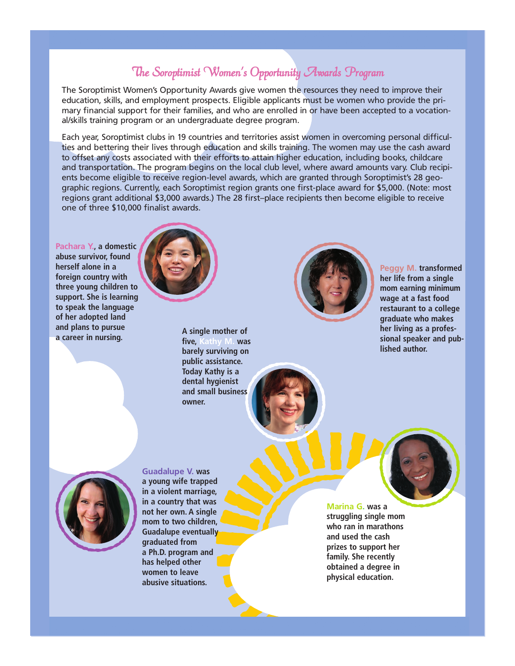### The Soroptimist Women's Opportunity Awards Program

The Soroptimist Women's Opportunity Awards give women the resources they need to improve their education, skills, and employment prospects. Eligible applicants must be women who provide the primary financial support for their families, and who are enrolled in or have been accepted to a vocational/skills training program or an undergraduate degree program.

Each year, Soroptimist clubs in 19 countries and territories assist women in overcoming personal difficulties and bettering their lives through education and skills training. The women may use the cash award to offset any costs associated with their efforts to attain higher education, including books, childcare and transportation. The program begins on the local club level, where award amounts vary. Club recipients become eligible to receive region-level awards, which are granted through Soroptimist's 28 geographic regions. Currently, each Soroptimist region grants one first-place award for \$5,000. (Note: most regions grant additional \$3,000 awards.) The 28 first–place recipients then become eligible to receive one of three \$10,000 finalist awards.

**Pachara Y., a domestic abuse survivor, found herself alone in a foreign country with three young children to support. She is learning to speak the language of her adopted land and plans to pursue a career in nursing.** 



**A single mother of five, Kathy M. was barely surviving on public assistance. Today Kathy is a dental hygienist and small business owner.**



**Peggy M. transformed her life from a single mom earning minimum wage at a fast food restaurant to a college graduate who makes her living as a professional speaker and published author.**



**a young wife trapped in a violent marriage, in a country that was not her own. A single mom to two children, Guadalupe eventually graduated from a Ph.D. program and has helped other women to leave abusive situations.**

**Guadalupe V. was** 

**Marina G. was a struggling single mom who ran in marathons and used the cash prizes to support her family. She recently obtained a degree in physical education.**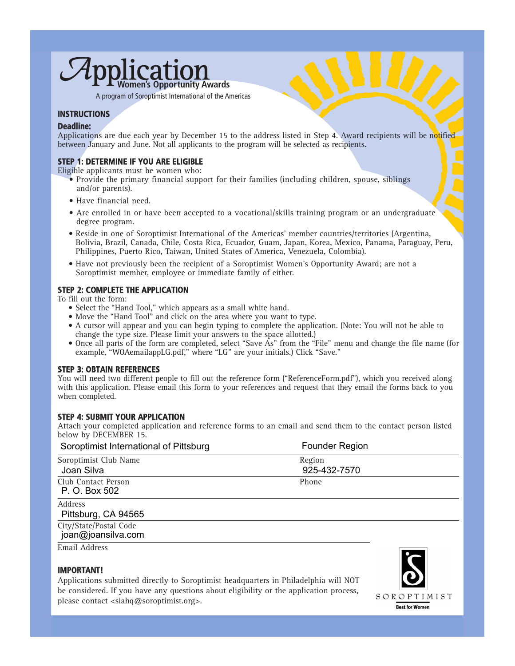## $\overline{1}$  $C$ 21 **Women's Opportunity Awards**

A program of Soroptimist International of the Americas

#### **INSTRUCTIONS**

#### **Deadline:**

Applications are due each year by December 15 to the address listed in Step 4. Award recipients will be notified between January and June. Not all applicants to the program will be selected as recipients.

#### **STEP 1: DETERMINE IF YOU ARE ELIGIBLE**

Eligible applicants must be women who:

- Provide the primary financial support for their families (including children, spouse, siblings and/or parents).
- Have financial need.
- Are enrolled in or have been accepted to a vocational/skills training program or an undergraduate degree program.
- Reside in one of Soroptimist International of the Americas' member countries/territories (Argentina, Bolivia, Brazil, Canada, Chile, Costa Rica, Ecuador, Guam, Japan, Korea, Mexico, Panama, Paraguay, Peru, Philippines, Puerto Rico, Taiwan, United States of America, Venezuela, Colombia).
- Have not previously been the recipient of a Soroptimist Women's Opportunity Award; are not a Soroptimist member, employee or immediate family of either.

#### **STEP 2: COMPLETE THE APPLICATION**

To fill out the form:

- Select the "Hand Tool," which appears as a small white hand.
- Move the "Hand Tool" and click on the area where you want to type.
- A cursor will appear and you can begin typing to complete the application. (Note: You will not be able to change the type size. Please limit your answers to the space allotted.)
- Once all parts of the form are completed, select "Save As" from the "File" menu and change the file name (for example, "WOAemailappLG.pdf," where "LG" are your initials.) Click "Save."

#### **STEP 3: OBTAIN REFERENCES**

You will need two different people to fill out the reference form ("ReferenceForm.pdf"), which you received along with this application. Please email this form to your references and request that they email the forms back to you when completed.

#### **STEP 4: SUBMIT YOUR APPLICATION**

Attach your completed application and reference forms to an email and send them to the contact person listed below by DECEMBER 15.

| Soroptimist International of Pittsburg       | <b>Founder Region</b>  |  |
|----------------------------------------------|------------------------|--|
| Soroptimist Club Name<br>Joan Silva          | Region<br>925-432-7570 |  |
| Club Contact Person<br>P. O. Box 502         | Phone                  |  |
| <b>Address</b><br>Pittsburg, CA 94565        |                        |  |
| City/State/Postal Code<br>joan@joansilva.com |                        |  |
| Email Address                                |                        |  |

#### **IMPORTANT!**

Applications submitted directly to Soroptimist headquarters in Philadelphia will NOT be considered. If you have any questions about eligibility or the application process, please contact <siahq@soroptimist.org>.

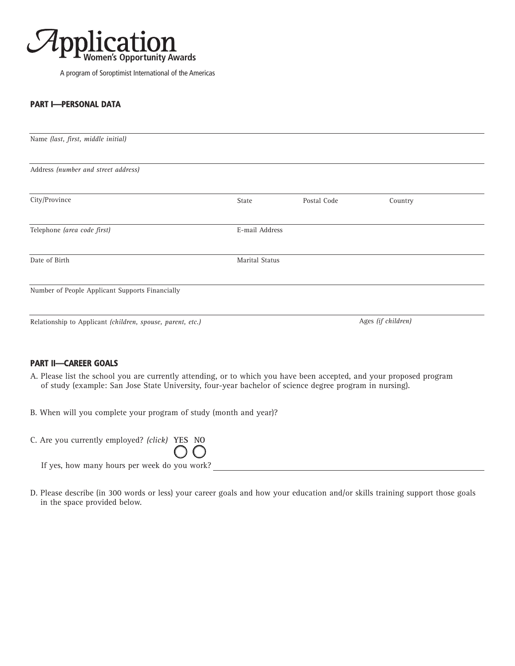

A program of Soroptimist International of the Americas

#### **PART I—PERSONAL DATA**

| Name (last, first, middle initial)                         |                       |             |         |  |
|------------------------------------------------------------|-----------------------|-------------|---------|--|
| Address (number and street address)                        |                       |             |         |  |
| City/Province                                              | State                 | Postal Code | Country |  |
| Telephone (area code first)                                | E-mail Address        |             |         |  |
| Date of Birth                                              | <b>Marital Status</b> |             |         |  |
| Number of People Applicant Supports Financially            |                       |             |         |  |
| Relationship to Applicant (children, spouse, parent, etc.) | Ages (if children)    |             |         |  |

#### **PART II—CAREER GOALS**

- A. Please list the school you are currently attending, or to which you have been accepted, and your proposed program of study (example: San Jose State University, four-year bachelor of science degree program in nursing).
- B. When will you complete your program of study (month and year)?

| C. Are you currently employed? (click) YES NO |                |  |
|-----------------------------------------------|----------------|--|
|                                               | $\overline{O}$ |  |
| If yes, how many hours per week do you work?  |                |  |

D. Please describe (in 300 words or less) your career goals and how your education and/or skills training support those goals in the space provided below.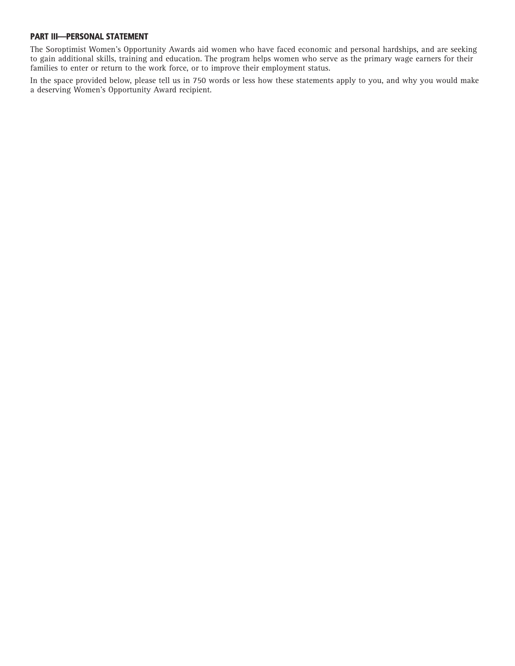#### **PART III—PERSONAL STATEMENT**

The Soroptimist Women's Opportunity Awards aid women who have faced economic and personal hardships, and are seeking to gain additional skills, training and education. The program helps women who serve as the primary wage earners for their families to enter or return to the work force, or to improve their employment status.

In the space provided below, please tell us in 750 words or less how these statements apply to you, and why you would make a deserving Women's Opportunity Award recipient.